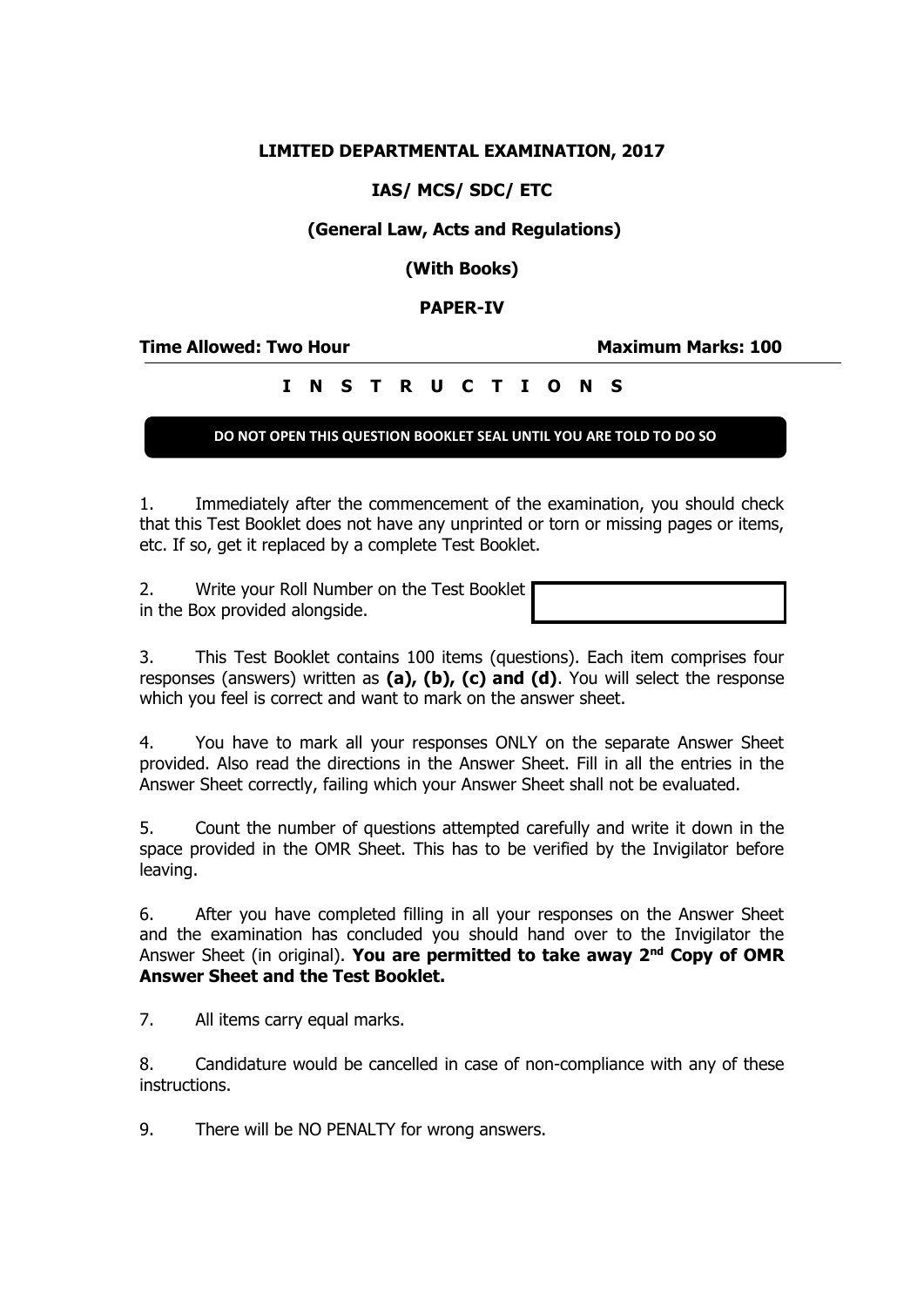## **LIMITED DEPARTMENTAL EXAMINATION, 2017**

# **IAS/ MCS/ SDC/ ETC**

# **(General Law, Acts and Regulations)**

**(With Books)**

### **PAPER-IV**

**Time Allowed: Two Hour Maximum Marks: 100**

# **I N S T R U C T I O N S**

#### **DO NOT OPEN THIS QUESTION BOOKLET SEAL UNTIL YOU ARE TOLD TO DO SO**

1. Immediately after the commencement of the examination, you should check that this Test Booklet does not have any unprinted or torn or missing pages or items, etc. If so, get it replaced by a complete Test Booklet.

2. Write your Roll Number on the Test Booklet in the Box provided alongside.

3. This Test Booklet contains 100 items (questions). Each item comprises four responses (answers) written as **(a), (b), (c) and (d)**. You will select the response which you feel is correct and want to mark on the answer sheet.

4. You have to mark all your responses ONLY on the separate Answer Sheet provided. Also read the directions in the Answer Sheet. Fill in all the entries in the Answer Sheet correctly, failing which your Answer Sheet shall not be evaluated.

5. Count the number of questions attempted carefully and write it down in the space provided in the OMR Sheet. This has to be verified by the Invigilator before leaving.

6. After you have completed filling in all your responses on the Answer Sheet and the examination has concluded you should hand over to the Invigilator the Answer Sheet (in original). **You are permitted to take away 2nd Copy of OMR Answer Sheet and the Test Booklet.**

7. All items carry equal marks.

8. Candidature would be cancelled in case of non-compliance with any of these instructions.

9. There will be NO PENALTY for wrong answers.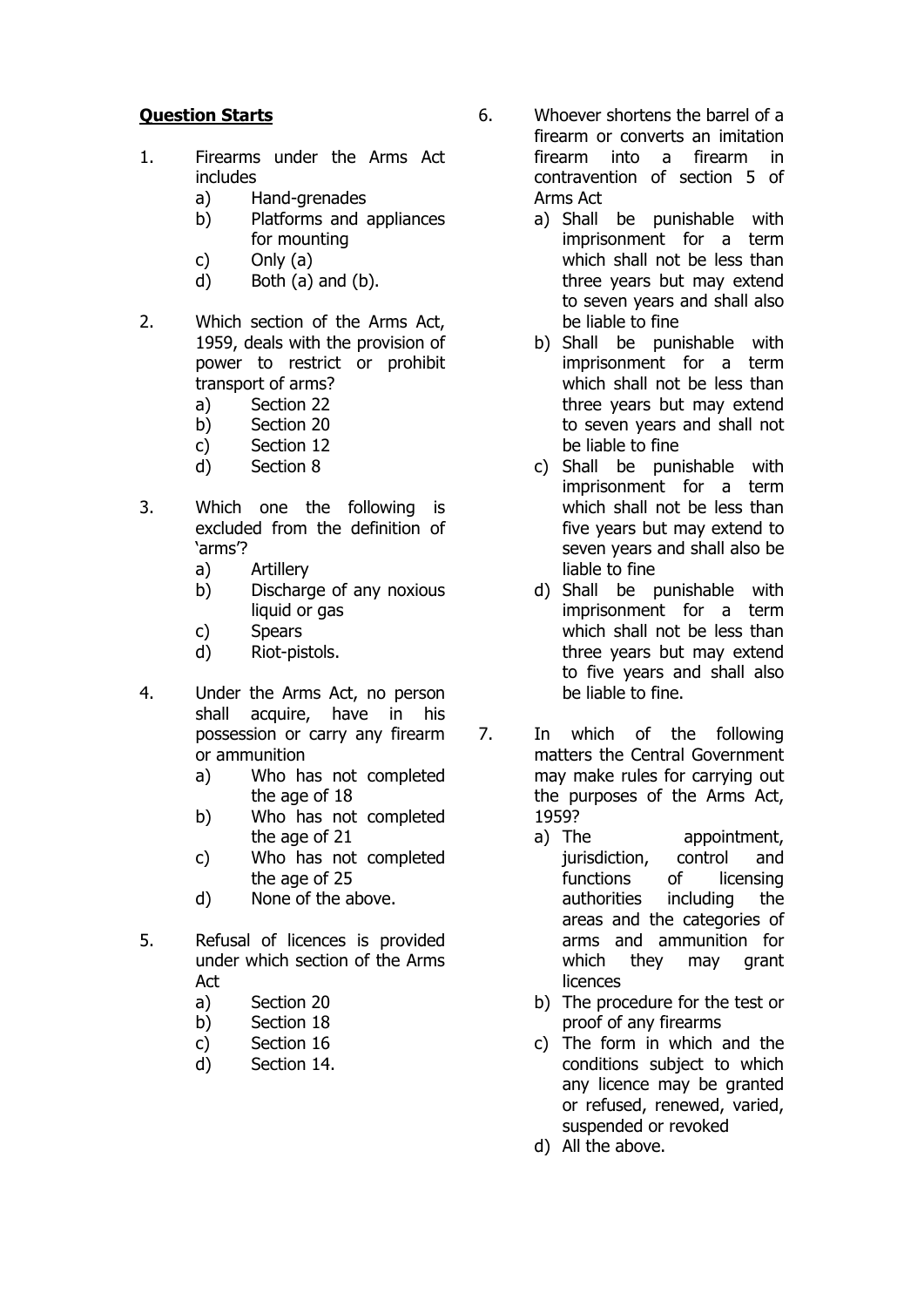## **Question Starts**

- 1. Firearms under the Arms Act includes
	- a) Hand-grenades
	- b) Platforms and appliances for mounting
	- c) Only (a)
	- d) Both (a) and (b).
- 2. Which section of the Arms Act, 1959, deals with the provision of power to restrict or prohibit transport of arms?
	- a) Section 22
	- b) Section 20
	- c) Section 12
	- d) Section 8
- 3. Which one the following is excluded from the definition of 'arms'?
	- a) Artillery
	- b) Discharge of any noxious liquid or gas
	- c) Spears
	- d) Riot-pistols.
- 4. Under the Arms Act, no person shall acquire, have in his possession or carry any firearm or ammunition
	- a) Who has not completed the age of 18
	- b) Who has not completed the age of 21
	- c) Who has not completed the age of 25
	- d) None of the above.
- 5. Refusal of licences is provided under which section of the Arms Act
	- a) Section 20
	- b) Section 18
	- c) Section 16
	- d) Section 14.

6. Whoever shortens the barrel of a firearm or converts an imitation firearm into a firearm in contravention of section 5 of Arms Act

- a) Shall be punishable with imprisonment for a term which shall not be less than three years but may extend to seven years and shall also be liable to fine
- b) Shall be punishable with imprisonment for a term which shall not be less than three years but may extend to seven years and shall not be liable to fine
- c) Shall be punishable with imprisonment for a term which shall not be less than five years but may extend to seven years and shall also be liable to fine
- d) Shall be punishable with imprisonment for a term which shall not be less than three years but may extend to five years and shall also be liable to fine.
- 7. In which of the following matters the Central Government may make rules for carrying out the purposes of the Arms Act, 1959?
	- a) The appointment, jurisdiction, control and functions of licensing authorities including the areas and the categories of arms and ammunition for which they may grant licences
	- b) The procedure for the test or proof of any firearms
	- c) The form in which and the conditions subject to which any licence may be granted or refused, renewed, varied, suspended or revoked
	- d) All the above.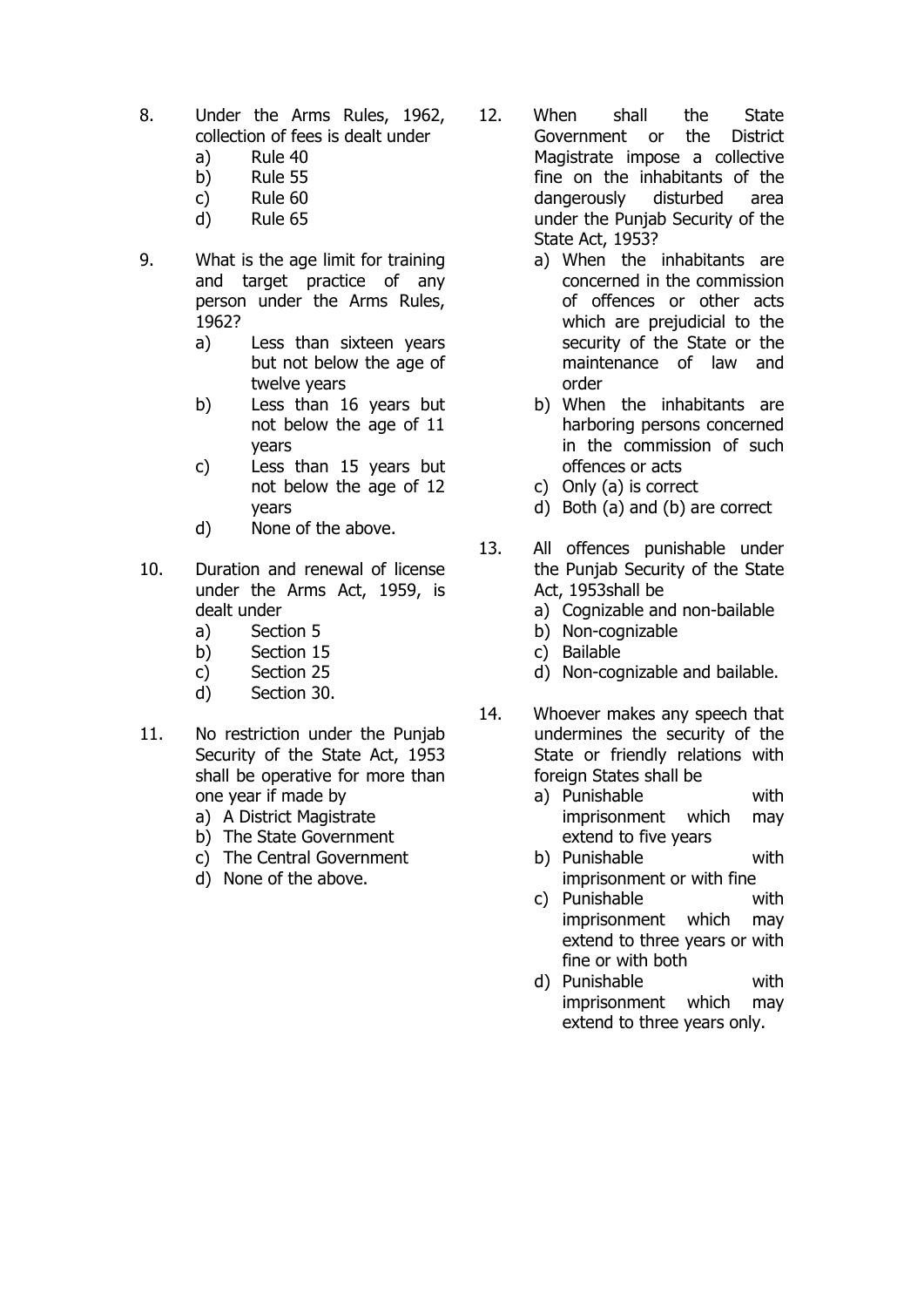- 8. Under the Arms Rules, 1962, collection of fees is dealt under
	- a) Rule 40
	- b) Rule 55
	- c) Rule 60
	- d) Rule 65
- 9. What is the age limit for training and target practice of any person under the Arms Rules, 1962?
	- a) Less than sixteen years but not below the age of twelve years
	- b) Less than 16 years but not below the age of 11 years
	- c) Less than 15 years but not below the age of 12 years
	- d) None of the above.
- 10. Duration and renewal of license under the Arms Act, 1959, is dealt under
	- a) Section 5
	- b) Section 15
	- c) Section 25
	- d) Section 30.
- 11. No restriction under the Punjab Security of the State Act, 1953 shall be operative for more than one year if made by
	- a) A District Magistrate
	- b) The State Government
	- c) The Central Government
	- d) None of the above.
- 12. When shall the State Government or the District Magistrate impose a collective fine on the inhabitants of the dangerously disturbed area under the Punjab Security of the State Act, 1953?
	- a) When the inhabitants are concerned in the commission of offences or other acts which are prejudicial to the security of the State or the maintenance of law and order
	- b) When the inhabitants are harboring persons concerned in the commission of such offences or acts
	- c) Only (a) is correct
	- d) Both (a) and (b) are correct
- 13. All offences punishable under the Punjab Security of the State Act, 1953shall be
	- a) Cognizable and non-bailable
	- b) Non-cognizable
	- c) Bailable
	- d) Non-cognizable and bailable.
- 14. Whoever makes any speech that undermines the security of the State or friendly relations with foreign States shall be
	- a) Punishable with imprisonment which may extend to five years
	- b) Punishable with imprisonment or with fine
	- c) Punishable with imprisonment which may extend to three years or with fine or with both
	- d) Punishable with imprisonment which may extend to three years only.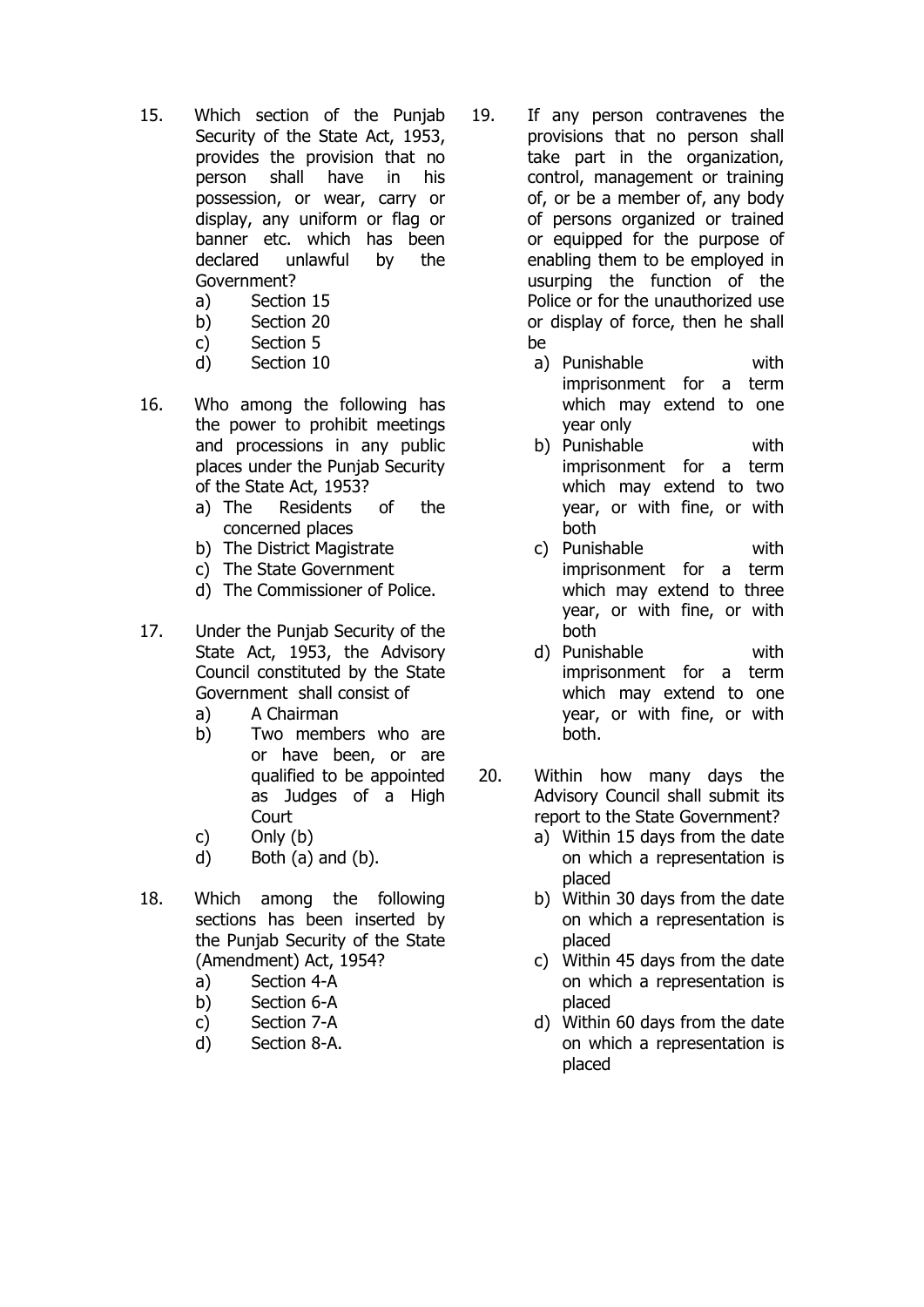- 15. Which section of the Punjab Security of the State Act, 1953, provides the provision that no person shall have in his possession, or wear, carry or display, any uniform or flag or banner etc. which has been declared unlawful by the Government?
	- a) Section 15
	- b) Section 20
	- c) Section 5
	- d) Section 10
- 16. Who among the following has the power to prohibit meetings and processions in any public places under the Punjab Security of the State Act, 1953?
	- a) The Residents of the concerned places
	- b) The District Magistrate
	- c) The State Government
	- d) The Commissioner of Police.
- 17. Under the Punjab Security of the State Act, 1953, the Advisory Council constituted by the State Government shall consist of
	- a) A Chairman
	- b) Two members who are or have been, or are qualified to be appointed as Judges of a High **Court**
	- c) Only (b)
	- d) Both (a) and (b).
- 18. Which among the following sections has been inserted by the Punjab Security of the State (Amendment) Act, 1954?
	- a) Section 4-A
	- b) Section 6-A
	- c) Section 7-A
	- d) Section 8-A.
- 19. If any person contravenes the provisions that no person shall take part in the organization, control, management or training of, or be a member of, any body of persons organized or trained or equipped for the purpose of enabling them to be employed in usurping the function of the Police or for the unauthorized use or display of force, then he shall be
	- a) Punishable with imprisonment for a term which may extend to one year only
	- b) Punishable with imprisonment for a term which may extend to two year, or with fine, or with both
	- c) Punishable with imprisonment for a term which may extend to three year, or with fine, or with both
	- d) Punishable with imprisonment for a term which may extend to one year, or with fine, or with both.
- 20. Within how many days the Advisory Council shall submit its report to the State Government?
	- a) Within 15 days from the date on which a representation is placed
	- b) Within 30 days from the date on which a representation is placed
	- c) Within 45 days from the date on which a representation is placed
	- d) Within 60 days from the date on which a representation is placed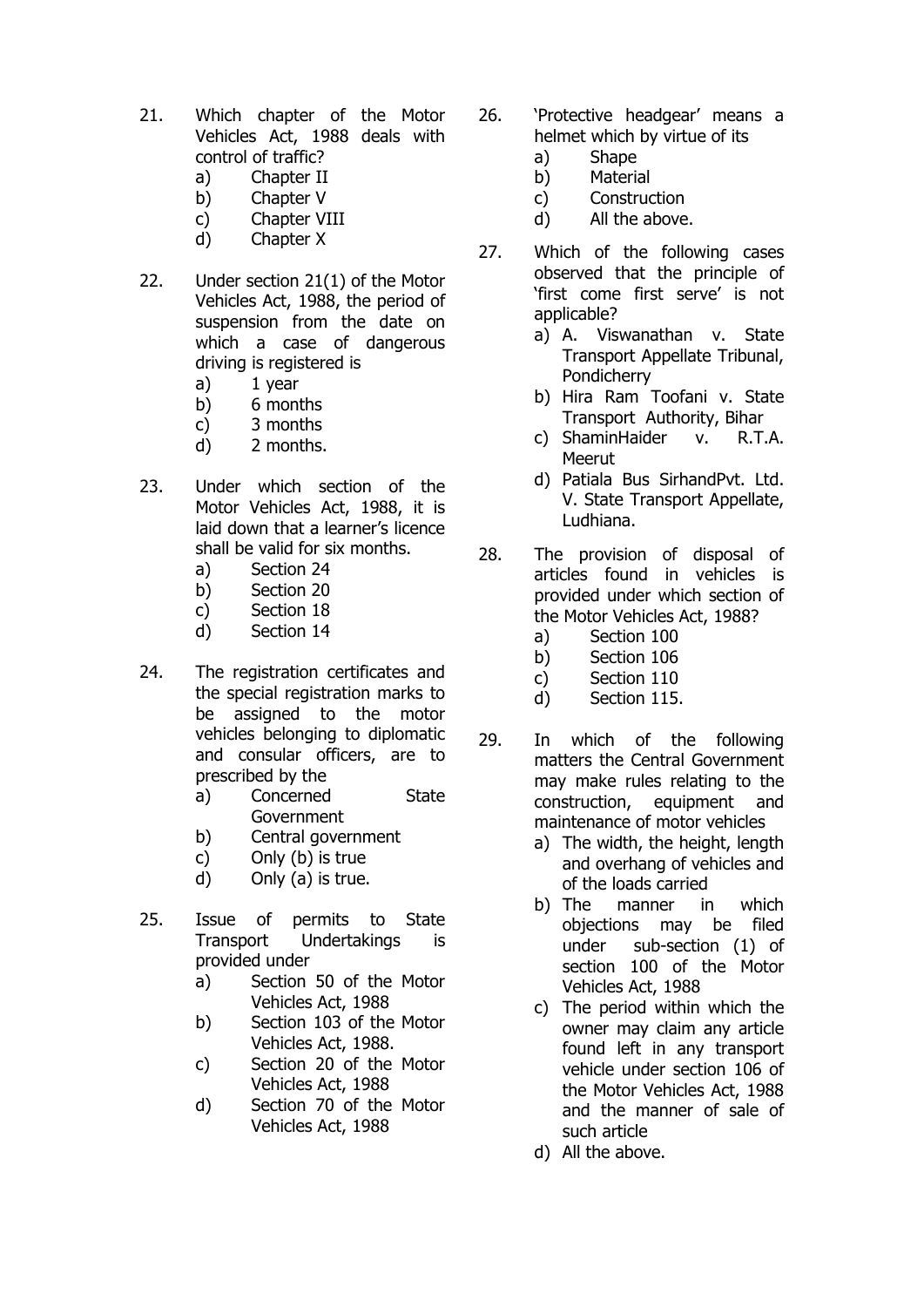- 21. Which chapter of the Motor Vehicles Act, 1988 deals with control of traffic?
	- a) Chapter II
	- b) Chapter V
	- c) Chapter VIII
	- d) Chapter X
- 22. Under section 21(1) of the Motor Vehicles Act, 1988, the period of suspension from the date on which a case of dangerous driving is registered is
	- a) 1 year
	- b) 6 months
	- c) 3 months
	- d) 2 months.
- 23. Under which section of the Motor Vehicles Act, 1988, it is laid down that a learner's licence shall be valid for six months.
	- a) Section 24
	- b) Section 20
	- c) Section 18
	- d) Section 14
- 24. The registration certificates and the special registration marks to be assigned to the motor vehicles belonging to diplomatic and consular officers, are to prescribed by the
	- a) Concerned State Government
	- b) Central government
	- c) Only (b) is true
	- d) Only (a) is true.
- 25. Issue of permits to State Transport Undertakings is provided under
	- a) Section 50 of the Motor Vehicles Act, 1988
	- b) Section 103 of the Motor Vehicles Act, 1988.
	- c) Section 20 of the Motor Vehicles Act, 1988
	- d) Section 70 of the Motor Vehicles Act, 1988
- 26. 'Protective headgear' means a helmet which by virtue of its
	- a) Shape
	- b) Material
	- c) Construction
	- d) All the above.
- 27. Which of the following cases observed that the principle of 'first come first serve' is not applicable?
	- a) A. Viswanathan v. State Transport Appellate Tribunal, Pondicherry
	- b) Hira Ram Toofani v. State Transport Authority, Bihar
	- c) ShaminHaider v. R.T.A. **Meerut**
	- d) Patiala Bus SirhandPvt. Ltd. V. State Transport Appellate, Ludhiana.
- 28. The provision of disposal of articles found in vehicles is provided under which section of the Motor Vehicles Act, 1988?
	- a) Section 100
	- b) Section 106
	- c) Section 110
	- d) Section 115.
- 29. In which of the following matters the Central Government may make rules relating to the construction, equipment and maintenance of motor vehicles
	- a) The width, the height, length and overhang of vehicles and of the loads carried
	- b) The manner in which objections may be filed under sub-section (1) of section 100 of the Motor Vehicles Act, 1988
	- c) The period within which the owner may claim any article found left in any transport vehicle under section 106 of the Motor Vehicles Act, 1988 and the manner of sale of such article
	- d) All the above.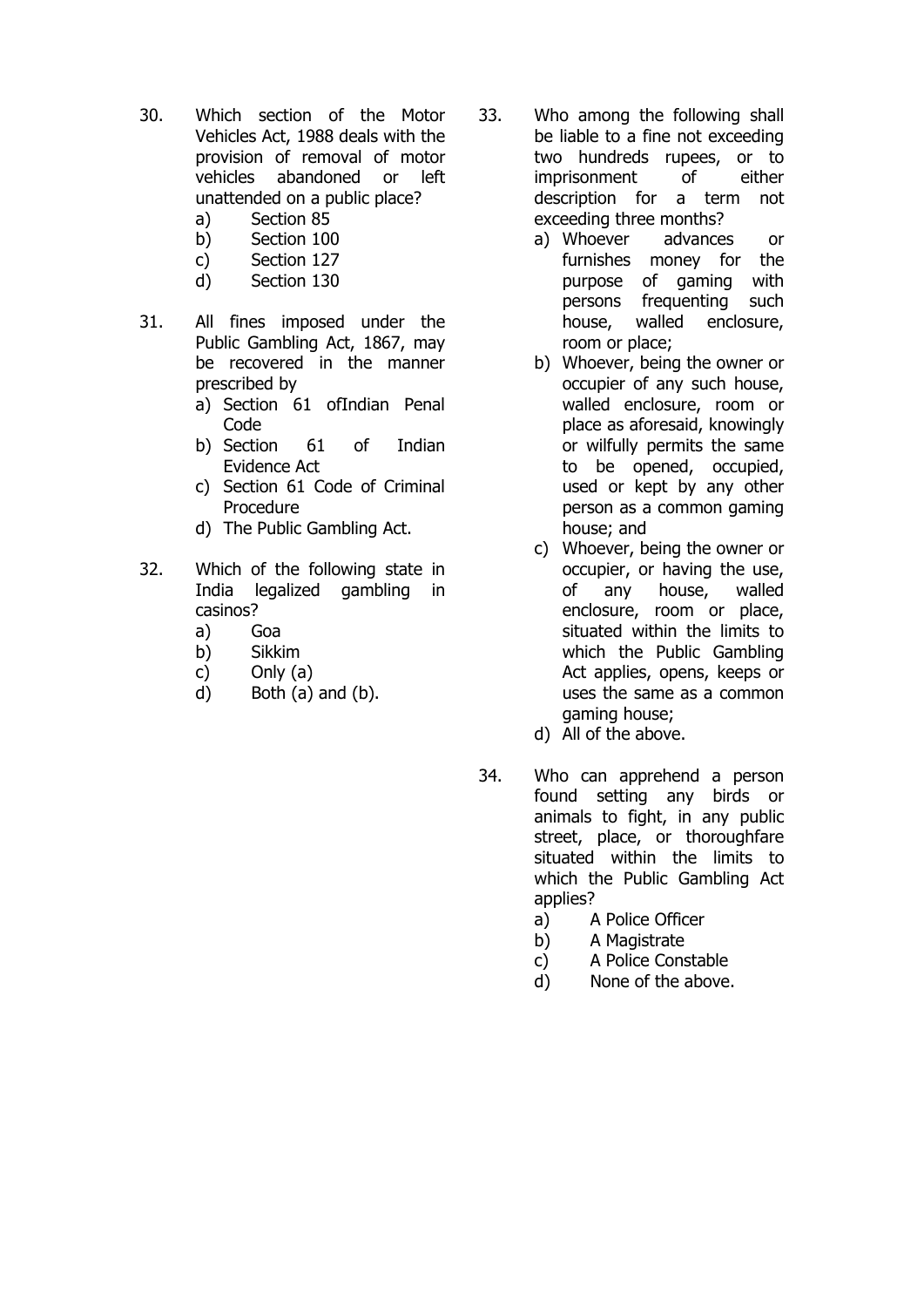- 30. Which section of the Motor Vehicles Act, 1988 deals with the provision of removal of motor vehicles abandoned or left unattended on a public place?
	- a) Section 85
	- b) Section 100
	- c) Section 127
	- d) Section 130
- 31. All fines imposed under the Public Gambling Act, 1867, may be recovered in the manner prescribed by
	- a) Section 61 ofIndian Penal Code
	- b) Section 61 of Indian Evidence Act
	- c) Section 61 Code of Criminal Procedure
	- d) The Public Gambling Act.
- 32. Which of the following state in India legalized gambling in casinos?
	- a) Goa
	- b) Sikkim
	- c) Only (a)
	- d) Both (a) and (b).
- 33. Who among the following shall be liable to a fine not exceeding two hundreds rupees, or to imprisonment of either description for a term not exceeding three months?
	- a) Whoever advances or furnishes money for the purpose of gaming with persons frequenting such house, walled enclosure, room or place;
	- b) Whoever, being the owner or occupier of any such house, walled enclosure, room or place as aforesaid, knowingly or wilfully permits the same to be opened, occupied, used or kept by any other person as a common gaming house; and
	- c) Whoever, being the owner or occupier, or having the use, of any house, walled enclosure, room or place, situated within the limits to which the Public Gambling Act applies, opens, keeps or uses the same as a common gaming house;
	- d) All of the above.
- 34. Who can apprehend a person found setting any birds or animals to fight, in any public street, place, or thoroughfare situated within the limits to which the Public Gambling Act applies?
	- a) A Police Officer
	- b) A Magistrate
	- c) A Police Constable
	- d) None of the above.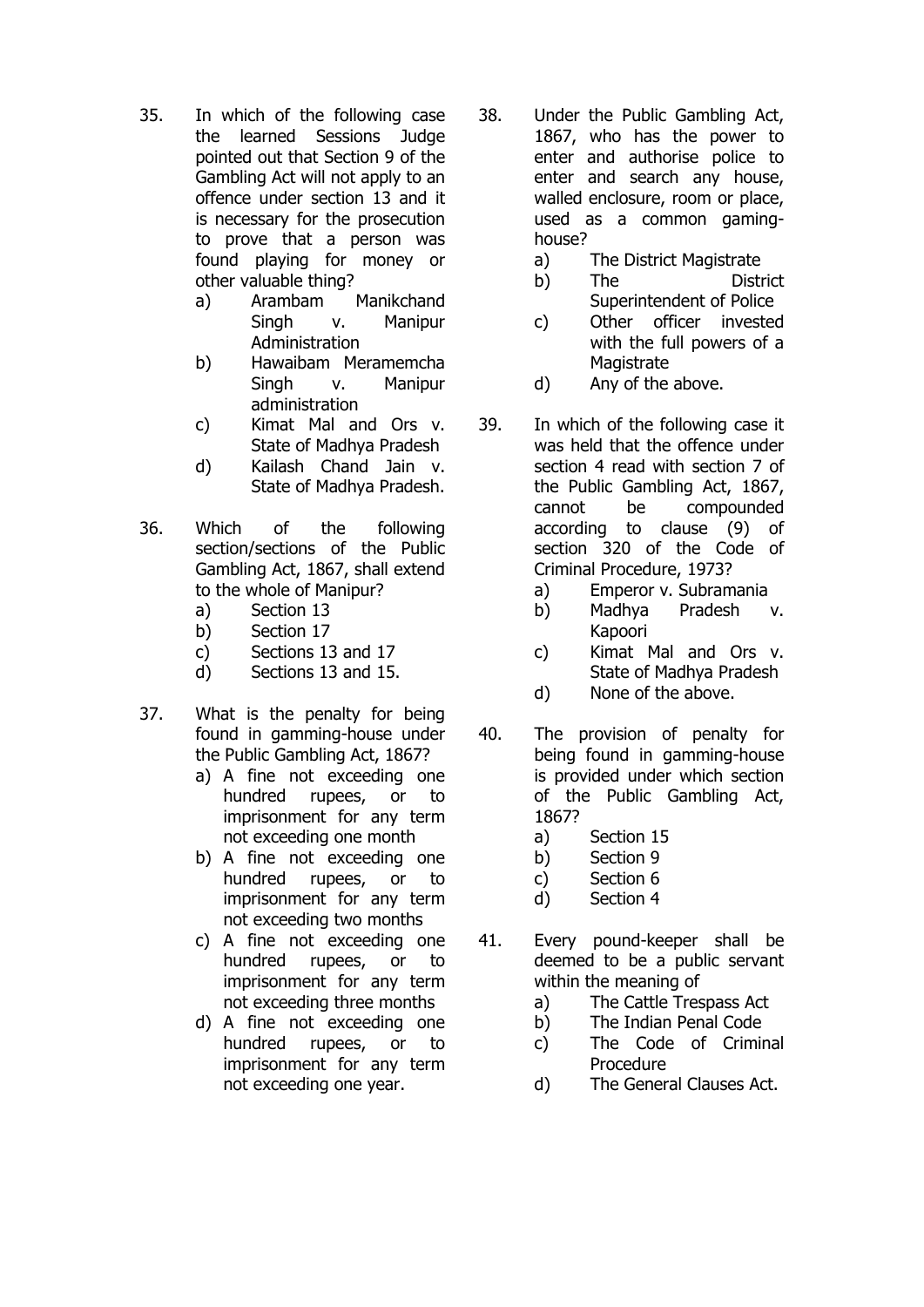- 35. In which of the following case the learned Sessions Judge pointed out that Section 9 of the Gambling Act will not apply to an offence under section 13 and it is necessary for the prosecution to prove that a person was found playing for money or other valuable thing?
	- a) Arambam Manikchand Singh v. Manipur Administration
	- b) Hawaibam Meramemcha Singh v. Manipur administration
	- c) Kimat Mal and Ors v. State of Madhya Pradesh
	- d) Kailash Chand Jain v. State of Madhya Pradesh.
- 36. Which of the following section/sections of the Public Gambling Act, 1867, shall extend to the whole of Manipur?
	- a) Section 13
	- b) Section 17
	- c) Sections 13 and 17
	- d) Sections 13 and 15.
- 37. What is the penalty for being found in gamming-house under the Public Gambling Act, 1867?
	- a) A fine not exceeding one hundred rupees, or to imprisonment for any term not exceeding one month
	- b) A fine not exceeding one hundred rupees, or to imprisonment for any term not exceeding two months
	- c) A fine not exceeding one hundred rupees, or to imprisonment for any term not exceeding three months
	- d) A fine not exceeding one hundred rupees, or to imprisonment for any term not exceeding one year.
- 38. Under the Public Gambling Act, 1867, who has the power to enter and authorise police to enter and search any house, walled enclosure, room or place, used as a common gaminghouse?
	- a) The District Magistrate
	- b) The District Superintendent of Police
	- c) Other officer invested with the full powers of a **Magistrate**
	- d) Any of the above.
- 39. In which of the following case it was held that the offence under section 4 read with section 7 of the Public Gambling Act, 1867, cannot be compounded according to clause (9) of section 320 of the Code of Criminal Procedure, 1973?
	- a) Emperor v. Subramania
	- b) Madhya Pradesh v. Kapoori
	- c) Kimat Mal and Ors v. State of Madhya Pradesh
	- d) None of the above.
- 40. The provision of penalty for being found in gamming-house is provided under which section of the Public Gambling Act, 1867?
	- a) Section 15
	- b) Section 9
	- c) Section 6
	- d) Section 4
- 41. Every pound-keeper shall be deemed to be a public servant within the meaning of
	- a) The Cattle Trespass Act
	- b) The Indian Penal Code
	- c) The Code of Criminal Procedure
	- d) The General Clauses Act.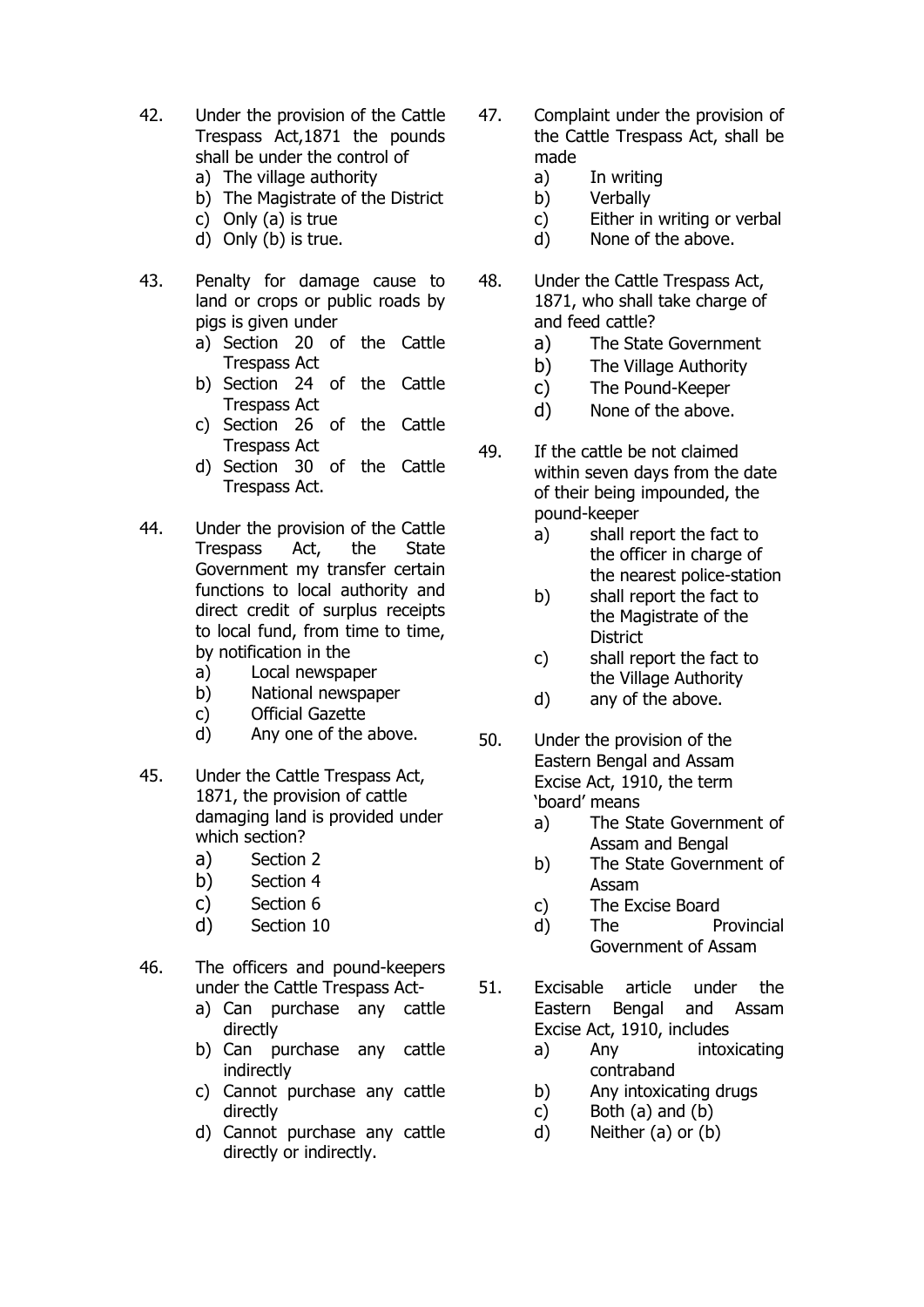- 42. Under the provision of the Cattle Trespass Act,1871 the pounds shall be under the control of
	- a) The village authority
	- b) The Magistrate of the District
	- c) Only (a) is true
	- d) Only (b) is true.
- 43. Penalty for damage cause to land or crops or public roads by pigs is given under
	- a) Section 20 of the Cattle Trespass Act
	- b) Section 24 of the Cattle Trespass Act
	- c) Section 26 of the Cattle Trespass Act
	- d) Section 30 of the Cattle Trespass Act.
- 44. Under the provision of the Cattle Trespass Act, the State Government my transfer certain functions to local authority and direct credit of surplus receipts to local fund, from time to time, by notification in the
	- a) Local newspaper
	- b) National newspaper
	- c) Official Gazette
	- d) Any one of the above.
- 45. Under the Cattle Trespass Act, 1871, the provision of cattle damaging land is provided under which section?
	- a) Section 2
	- b) Section 4
	- c) Section 6
	- d) Section 10
- 46. The officers and pound-keepers under the Cattle Trespass Act
	- a) Can purchase any cattle directly
	- b) Can purchase any cattle indirectly
	- c) Cannot purchase any cattle directly
	- d) Cannot purchase any cattle directly or indirectly.
- 47. Complaint under the provision of the Cattle Trespass Act, shall be made
	- a) In writing
	- b) Verbally
	- c) Either in writing or verbal
	- d) None of the above.
- 48. Under the Cattle Trespass Act, 1871, who shall take charge of and feed cattle?
	- a) The State Government
	- b) The Village Authority
	- c) The Pound-Keeper
	- d) None of the above.
- 49. If the cattle be not claimed within seven days from the date of their being impounded, the pound-keeper
	- a) shall report the fact to the officer in charge of the nearest police-station
	- b) shall report the fact to the Magistrate of the **District**
	- c) shall report the fact to the Village Authority
	- d) any of the above.
- 50. Under the provision of the Eastern Bengal and Assam Excise Act, 1910, the term 'board' means
	- a) The State Government of Assam and Bengal
	- b) The State Government of Assam
	- c) The Excise Board
	- d) The Provincial Government of Assam
- 51. Excisable article under the Eastern Bengal and Assam Excise Act, 1910, includes
	- a) Any intoxicating contraband
	- b) Any intoxicating drugs
	- c) Both (a) and (b)
	- d) Neither (a) or (b)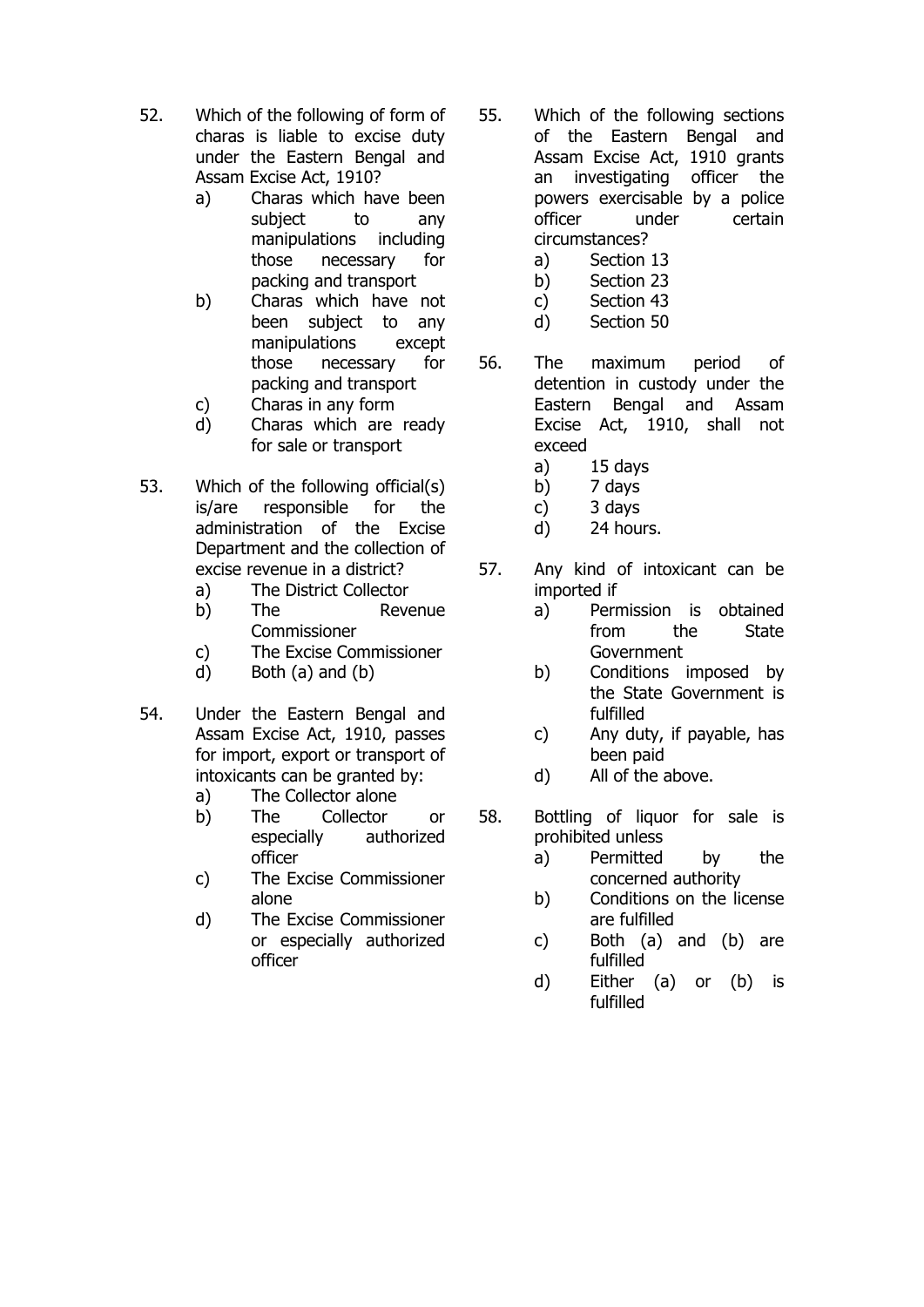- 52. Which of the following of form of charas is liable to excise duty under the Eastern Bengal and Assam Excise Act, 1910?
	- a) Charas which have been subject to any manipulations including those necessary for packing and transport
	- b) Charas which have not been subject to any manipulations except those necessary for packing and transport
	- c) Charas in any form
	- d) Charas which are ready for sale or transport
- 53. Which of the following official(s) is/are responsible for the administration of the Excise Department and the collection of excise revenue in a district?
	- a) The District Collector
	- b) The Revenue Commissioner
	- c) The Excise Commissioner
	- d) Both (a) and (b)
- 54. Under the Eastern Bengal and Assam Excise Act, 1910, passes for import, export or transport of intoxicants can be granted by:
	- a) The Collector alone
	- b) The Collector or especially authorized officer
	- c) The Excise Commissioner alone
	- d) The Excise Commissioner or especially authorized officer
- 55. Which of the following sections of the Eastern Bengal and Assam Excise Act, 1910 grants an investigating officer the powers exercisable by a police officer under certain circumstances?
	- a) Section 13
	- b) Section 23
	- c) Section 43
	- d) Section 50
- 56. The maximum period of detention in custody under the Eastern Bengal and Assam Excise Act, 1910, shall not exceed
	- a) 15 days
	- b) 7 days
	- c) 3 days
	- d) 24 hours.
- 57. Any kind of intoxicant can be imported if
	- a) Permission is obtained from the State **Government**
	- b) Conditions imposed by the State Government is fulfilled
	- c) Any duty, if payable, has been paid
	- d) All of the above.
- 58. Bottling of liquor for sale is prohibited unless
	- a) Permitted by the concerned authority
	- b) Conditions on the license are fulfilled
	- c) Both (a) and (b) are fulfilled
	- d) Either (a) or (b) is fulfilled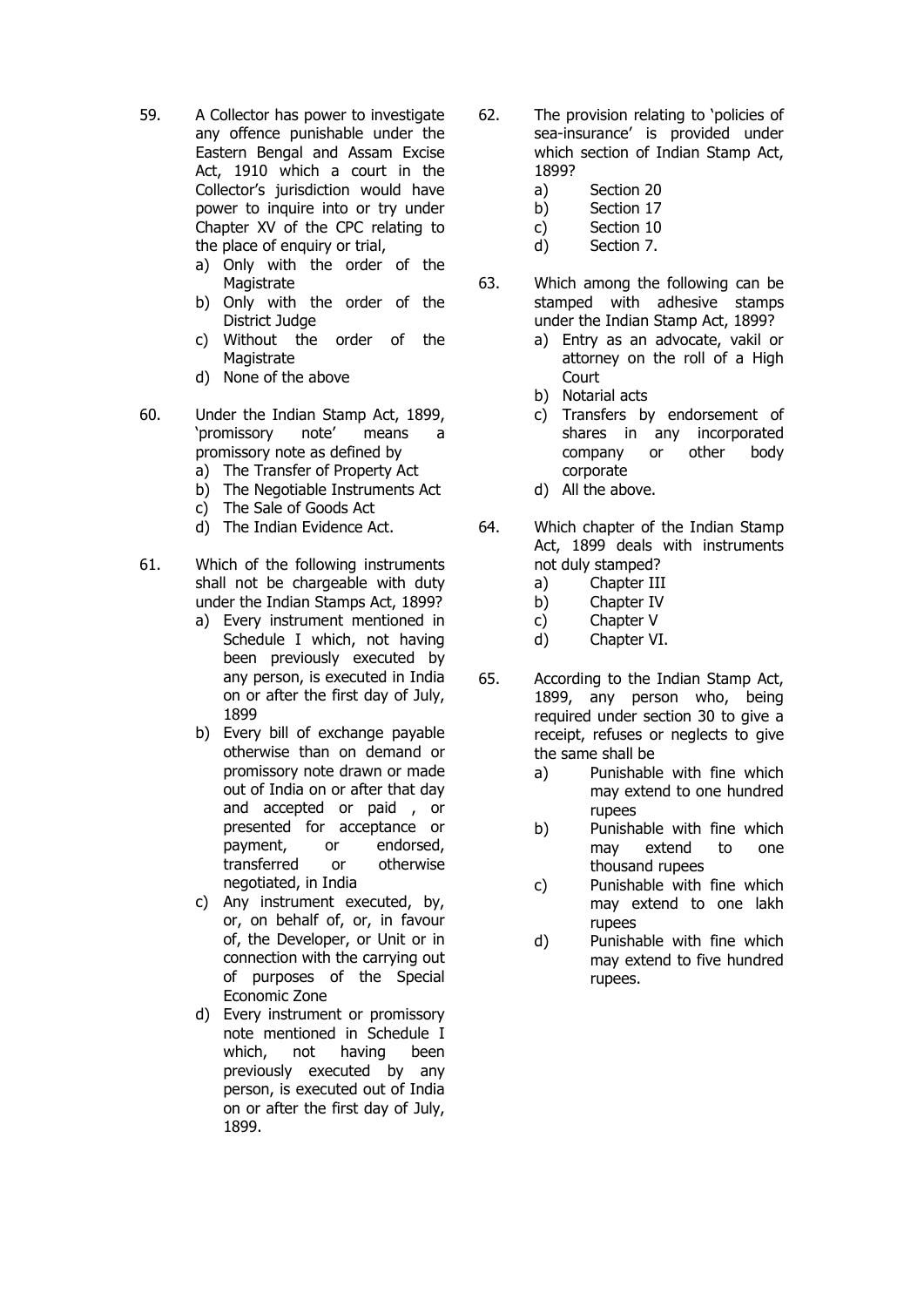- 59. A Collector has power to investigate any offence punishable under the Eastern Bengal and Assam Excise Act, 1910 which a court in the Collector's jurisdiction would have power to inquire into or try under Chapter XV of the CPC relating to the place of enquiry or trial,
	- a) Only with the order of the **Magistrate**
	- b) Only with the order of the District Judge
	- c) Without the order of the Magistrate
	- d) None of the above
- 60. Under the Indian Stamp Act, 1899, 'promissory note' means a promissory note as defined by
	- a) The Transfer of Property Act
	- b) The Negotiable Instruments Act
	- c) The Sale of Goods Act
	- d) The Indian Evidence Act.
- 61. Which of the following instruments shall not be chargeable with duty under the Indian Stamps Act, 1899?
	- a) Every instrument mentioned in Schedule I which, not having been previously executed by any person, is executed in India on or after the first day of July, 1899
	- b) Every bill of exchange payable otherwise than on demand or promissory note drawn or made out of India on or after that day and accepted or paid , or presented for acceptance or payment, or endorsed, transferred or otherwise negotiated, in India
	- c) Any instrument executed, by, or, on behalf of, or, in favour of, the Developer, or Unit or in connection with the carrying out of purposes of the Special Economic Zone
	- d) Every instrument or promissory note mentioned in Schedule I which, not having been previously executed by any person, is executed out of India on or after the first day of July, 1899.
- 62. The provision relating to 'policies of sea-insurance' is provided under which section of Indian Stamp Act, 1899?
	- a) Section 20
	- b) Section 17
	- c) Section 10
	- d) Section 7.
- 63. Which among the following can be stamped with adhesive stamps under the Indian Stamp Act, 1899?
	- a) Entry as an advocate, vakil or attorney on the roll of a High **Court**
	- b) Notarial acts
	- c) Transfers by endorsement of shares in any incorporated company or other body corporate
	- d) All the above.
- 64. Which chapter of the Indian Stamp Act, 1899 deals with instruments not duly stamped?
	- a) Chapter III
	- b) Chapter IV
	- c) Chapter V
	- d) Chapter VI.
- 65. According to the Indian Stamp Act, 1899, any person who, being required under section 30 to give a receipt, refuses or neglects to give the same shall be
	- a) Punishable with fine which may extend to one hundred rupees
	- b) Punishable with fine which may extend to one thousand rupees
	- c) Punishable with fine which may extend to one lakh rupees
	- d) Punishable with fine which may extend to five hundred rupees.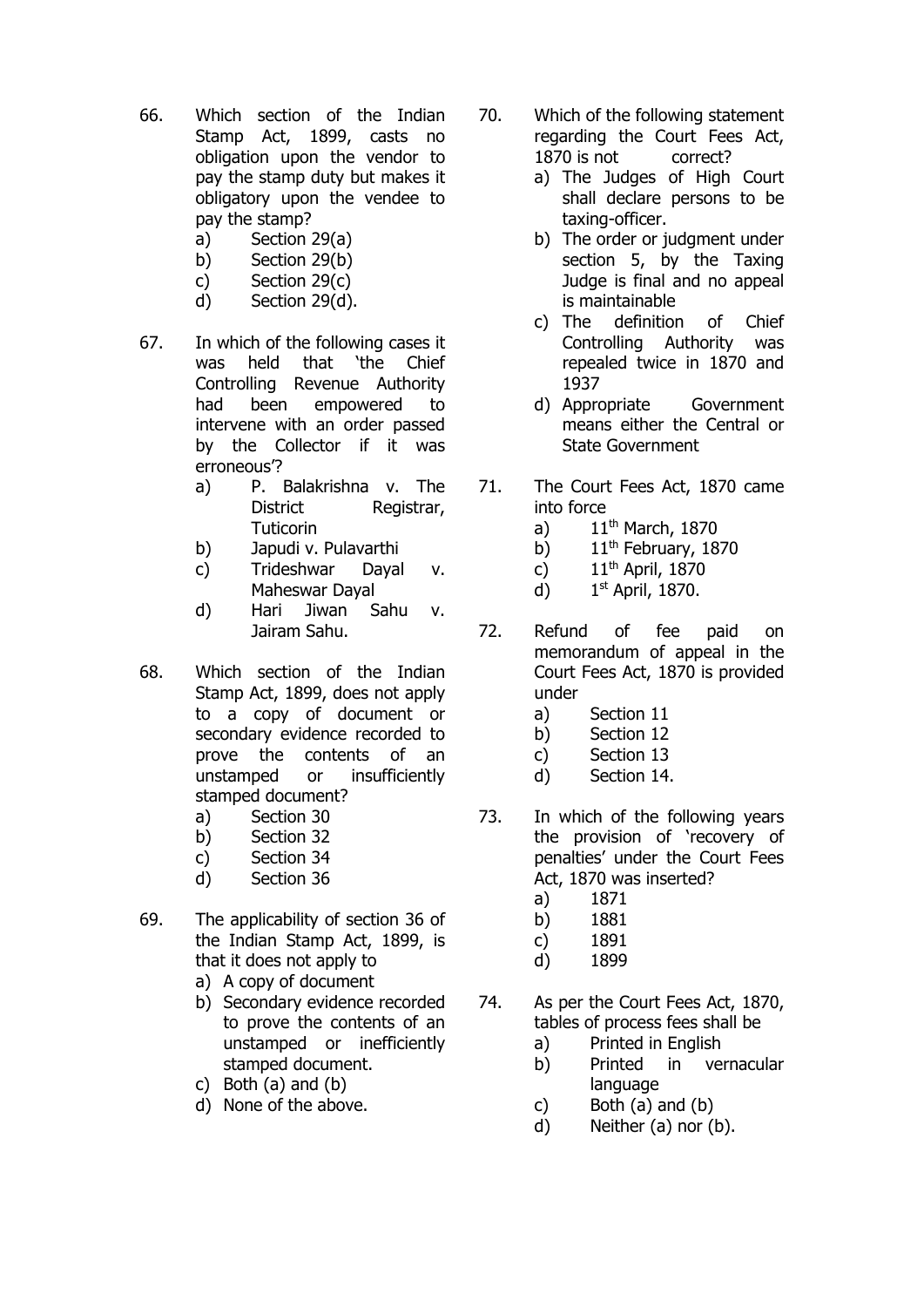- 66. Which section of the Indian Stamp Act, 1899, casts no obligation upon the vendor to pay the stamp duty but makes it obligatory upon the vendee to pay the stamp?
	- a) Section 29(a)
	- b) Section 29(b)
	- c) Section 29(c)
	- d) Section 29(d).
- 67. In which of the following cases it was held that 'the Chief Controlling Revenue Authority had been empowered to intervene with an order passed by the Collector if it was erroneous'?
	- a) P. Balakrishna v. The District Registrar, **Tuticorin**
	- b) Japudi v. Pulavarthi
	- c) Trideshwar Dayal v. Maheswar Dayal
	- d) Hari Jiwan Sahu v. Jairam Sahu.
- 68. Which section of the Indian Stamp Act, 1899, does not apply to a copy of document or secondary evidence recorded to prove the contents of an unstamped or insufficiently stamped document?
	- a) Section 30
	- b) Section 32
	- c) Section 34
	- d) Section 36
- 69. The applicability of section 36 of the Indian Stamp Act, 1899, is that it does not apply to
	- a) A copy of document
	- b) Secondary evidence recorded to prove the contents of an unstamped or inefficiently stamped document.
	- c) Both (a) and (b)
	- d) None of the above.
- 70. Which of the following statement regarding the Court Fees Act, 1870 is not correct?
	- a) The Judges of High Court shall declare persons to be taxing-officer.
	- b) The order or judgment under section 5, by the Taxing Judge is final and no appeal is maintainable
	- c) The definition of Chief Controlling Authority was repealed twice in 1870 and 1937
	- d) Appropriate Government means either the Central or State Government
- 71. The Court Fees Act, 1870 came into force
	- a)  $11<sup>th</sup>$  March, 1870
	- b)  $11<sup>th</sup>$  February, 1870
	- c)  $11<sup>th</sup>$  April, 1870
	- d) 1 1st April, 1870.
- 72. Refund of fee paid on memorandum of appeal in the Court Fees Act, 1870 is provided under
	- a) Section 11
	- b) Section 12
	- c) Section 13
	- d) Section 14.
- 73. In which of the following years the provision of 'recovery of penalties' under the Court Fees Act, 1870 was inserted?
	- a) 1871
	- b) 1881
	- c) 1891
	- d) 1899
- 74. As per the Court Fees Act, 1870, tables of process fees shall be
	- a) Printed in English
	- b) Printed in vernacular language
	- c) Both  $(a)$  and  $(b)$
	- d) Neither (a) nor (b).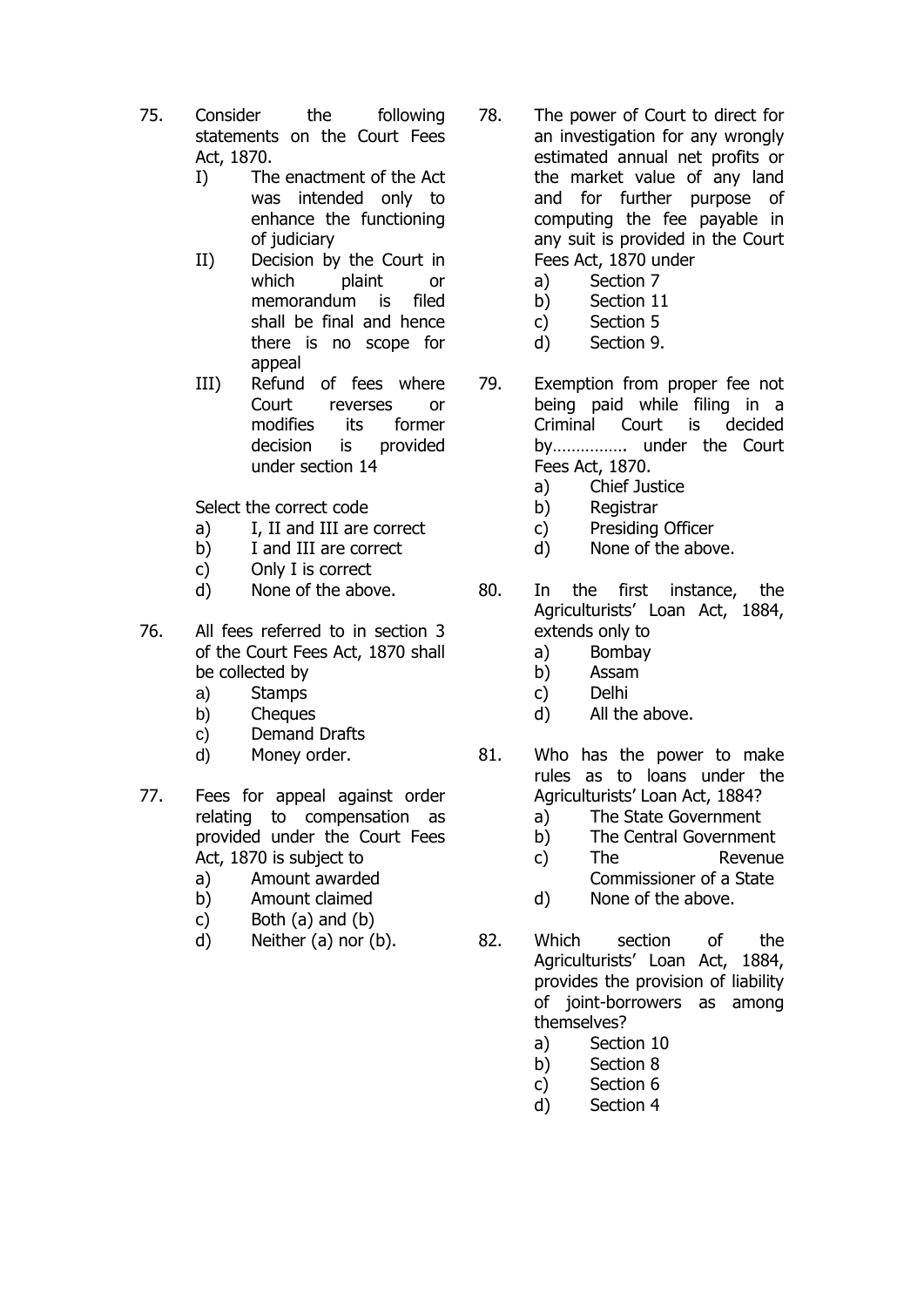- 75. Consider the following statements on the Court Fees Act, 1870.
	- I) The enactment of the Act was intended only to enhance the functioning of judiciary
	- II) Decision by the Court in which plaint or memorandum is filed shall be final and hence there is no scope for appeal
	- III) Refund of fees where Court reverses or modifies its former decision is provided under section 14

Select the correct code

- a) I, II and III are correct
- b) I and III are correct
- c) Only I is correct
- d) None of the above.
- 76. All fees referred to in section 3 of the Court Fees Act, 1870 shall be collected by
	- a) Stamps
	- b) Cheques
	- c) Demand Drafts
	- d) Money order.
- 77. Fees for appeal against order relating to compensation as provided under the Court Fees Act, 1870 is subject to
	- a) Amount awarded
	- b) Amount claimed
	- c) Both (a) and (b)
	- d) Neither (a) nor (b).
- 78. The power of Court to direct for an investigation for any wrongly estimated annual net profits or the market value of any land and for further purpose of computing the fee payable in any suit is provided in the Court Fees Act, 1870 under
	- a) Section 7
	- b) Section 11
	- c) Section 5
	- d) Section 9.
- 79. Exemption from proper fee not being paid while filing in a Criminal Court is decided by……………. under the Court Fees Act, 1870.
	- a) Chief Justice
	- b) Registrar
	- c) Presiding Officer
	- d) None of the above.
- 80. In the first instance, the Agriculturists' Loan Act, 1884, extends only to
	- a) Bombay
	- b) Assam
	- c) Delhi
	- d) All the above.
- 81. Who has the power to make rules as to loans under the Agriculturists' Loan Act, 1884?
	- a) The State Government
	- b) The Central Government
	- c) The Revenue Commissioner of a State
	- d) None of the above.
- 82. Which section of the Agriculturists' Loan Act, 1884, provides the provision of liability of joint-borrowers as among themselves?
	- a) Section 10
	- b) Section 8
	- c) Section 6
	- d) Section 4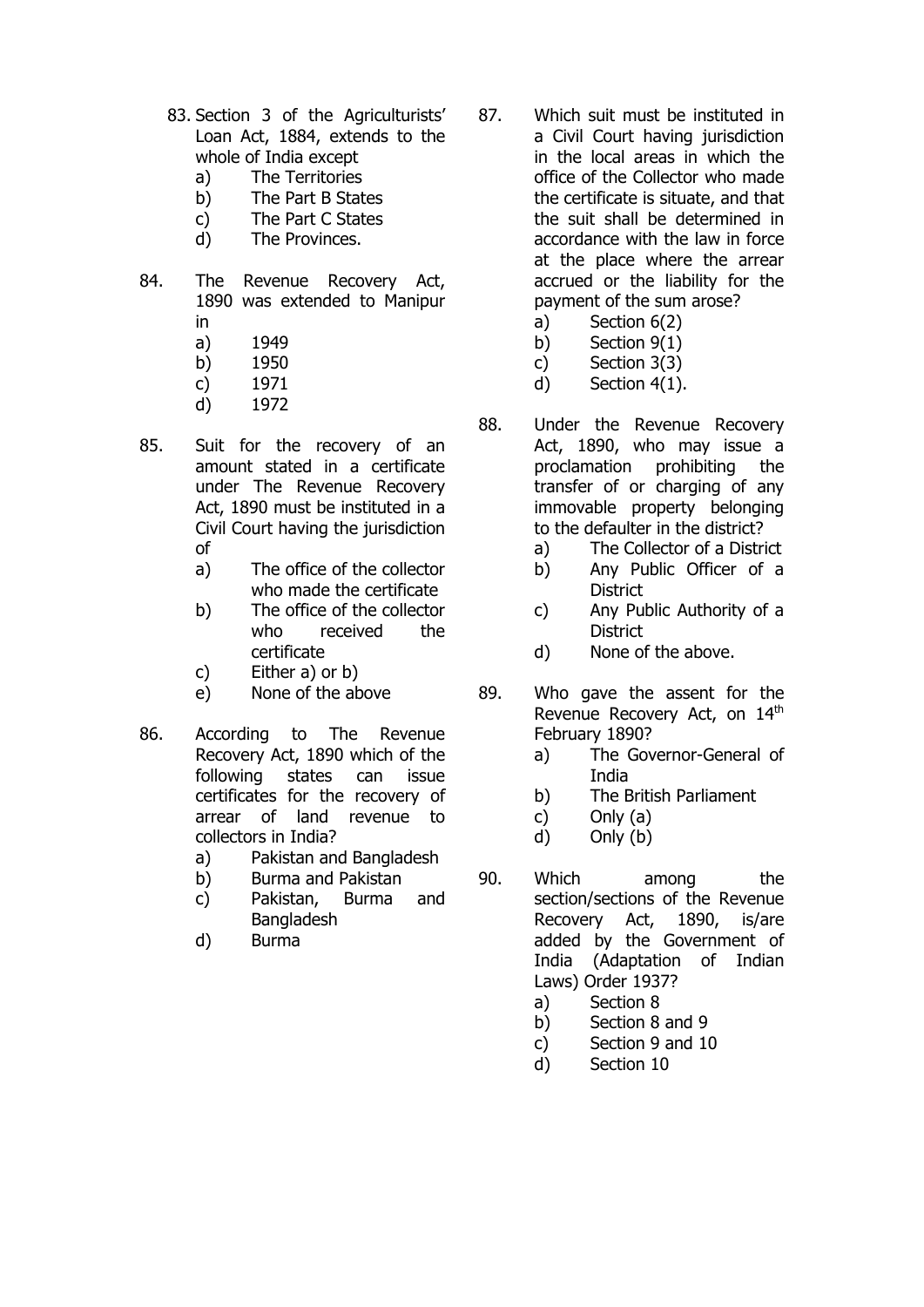- 83. Section 3 of the Agriculturists' Loan Act, 1884, extends to the whole of India except
	- a) The Territories
	- b) The Part B States
	- c) The Part C States
	- d) The Provinces.
- 84. The Revenue Recovery Act, 1890 was extended to Manipur
	- in
	- a) 1949
	- b) 1950
	- c) 1971 d) 1972
	-
- 85. Suit for the recovery of an amount stated in a certificate under The Revenue Recovery Act, 1890 must be instituted in a Civil Court having the jurisdiction of
	- a) The office of the collector who made the certificate
	- b) The office of the collector who received the certificate
	- c) Either a) or b)
	- e) None of the above
- 86. According to The Revenue Recovery Act, 1890 which of the following states can issue certificates for the recovery of arrear of land revenue to collectors in India?
	- a) Pakistan and Bangladesh
	- b) Burma and Pakistan
	- c) Pakistan, Burma and **Bangladesh**
	- d) Burma
- 87. Which suit must be instituted in a Civil Court having jurisdiction in the local areas in which the office of the Collector who made the certificate is situate, and that the suit shall be determined in accordance with the law in force at the place where the arrear accrued or the liability for the payment of the sum arose?
	- a) Section 6(2)
	- b) Section 9(1)
	- c) Section 3(3)
	- d) Section 4(1).
- 88. Under the Revenue Recovery Act, 1890, who may issue a proclamation prohibiting the transfer of or charging of any immovable property belonging to the defaulter in the district?
	- a) The Collector of a District
	- b) Any Public Officer of a **District**
	- c) Any Public Authority of a **District**
	- d) None of the above.
- 89. Who gave the assent for the Revenue Recovery Act, on 14th February 1890?
	- a) The Governor-General of **India**
	- b) The British Parliament
	- c) Only (a)
	- d) Only (b)
- 90. Which among the section/sections of the Revenue Recovery Act, 1890, is/are added by the Government of India (Adaptation of Indian Laws) Order 1937?
	- a) Section 8
	- b) Section 8 and 9
	- c) Section 9 and 10
	- d) Section 10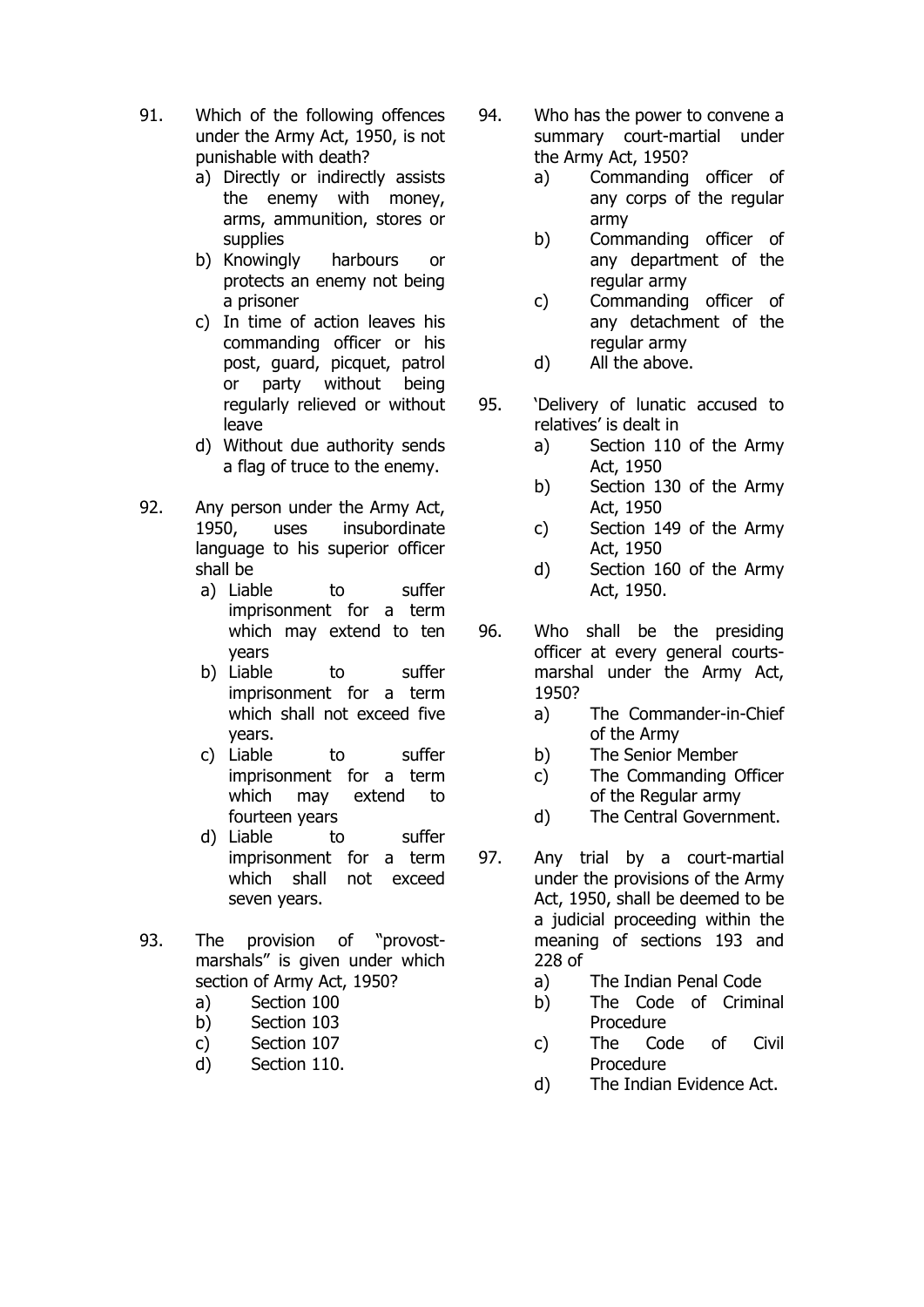- 91. Which of the following offences under the Army Act, 1950, is not punishable with death?
	- a) Directly or indirectly assists the enemy with money, arms, ammunition, stores or supplies
	- b) Knowingly harbours or protects an enemy not being a prisoner
	- c) In time of action leaves his commanding officer or his post, guard, picquet, patrol or party without being regularly relieved or without leave
	- d) Without due authority sends a flag of truce to the enemy.
- 92. Any person under the Army Act, 1950, uses insubordinate language to his superior officer shall be
	- a) Liable to suffer imprisonment for a term which may extend to ten years
	- b) Liable to suffer imprisonment for a term which shall not exceed five years.
	- c) Liable to suffer imprisonment for a term which may extend to fourteen years
	- d) Liable to suffer imprisonment for a term which shall not exceed seven years.
- 93. The provision of "provostmarshals" is given under which section of Army Act, 1950?
	- a) Section 100
	- b) Section 103
	- c) Section 107
	- d) Section 110.
- 94. Who has the power to convene a summary court-martial under the Army Act, 1950?
	- a) Commanding officer of any corps of the regular army
	- b) Commanding officer of any department of the regular army
	- c) Commanding officer of any detachment of the regular army
	- d) All the above.
- 95. 'Delivery of lunatic accused to relatives' is dealt in
	- a) Section 110 of the Army Act, 1950
	- b) Section 130 of the Army Act, 1950
	- c) Section 149 of the Army Act, 1950
	- d) Section 160 of the Army Act, 1950.
- 96. Who shall be the presiding officer at every general courtsmarshal under the Army Act, 1950?
	- a) The Commander-in-Chief of the Army
	- b) The Senior Member
	- c) The Commanding Officer of the Regular army
	- d) The Central Government.
- 97. Any trial by a court-martial under the provisions of the Army Act, 1950, shall be deemed to be a judicial proceeding within the meaning of sections 193 and 228 of
	- a) The Indian Penal Code
	- b) The Code of Criminal Procedure
	- c) The Code of Civil Procedure
	- d) The Indian Evidence Act.